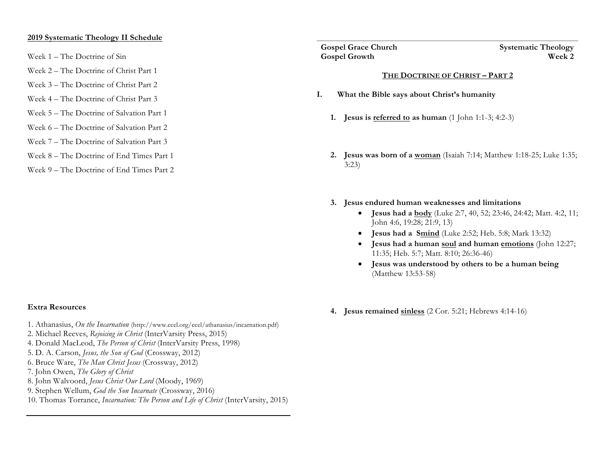#### **2019 Systematic Theology II Schedule**

- Week 1 The Doctrine of Sin
- Week 2 The Doctrine of Christ Part 1
- Week 3 The Doctrine of Christ Part 2
- Week 4 The Doctrine of Christ Part 3
- Week 5 The Doctrine of Salvation Part 1
- Week 6 The Doctrine of Salvation Part 2
- Week 7 The Doctrine of Salvation Part 3
- Week 8 The Doctrine of End Times Part 1
- Week 9 The Doctrine of End Times Part 2

**Gospel Growth** 

**Gospel Grace Church Systematic Theology**<br> **Gospel Growth Systematic Theology** 

#### **THE DOCTRINE OF CHRIST – PART 2**

- **I. What the Bible says about Christ's humanity**
	- **1. Jesus is referred to as human** (1 John 1:1-3; 4:2-3)
	- **2. Jesus was born of a woman** (Isaiah 7:14; Matthew 1:18-25; Luke 1:35; 3:23)
	- **3. Jesus endured human weaknesses and limitations**
		- **Jesus had a body** (Luke 2:7, 40, 52; 23:46, 24:42; Matt. 4:2, 11; John 4:6, 19:28; 21:9, 13)
		- **Jesus had a Smind** (Luke 2:52; Heb. 5:8; Mark 13:32)
		- **Jesus had a human soul and human emotions** (John 12:27; 11:35; Heb. 5:7; Matt. 8:10; 26:36-46)
		- **Jesus was understood by others to be a human being** (Matthew 13:53-58)

#### **Extra Resources**

- 1. Athanasius, *On the Incarnation* (http://www.ccel.org/ccel/athanasius/incarnation.pdf)
- 2. Michael Reeves, *Rejoicing in Christ* (InterVarsity Press, 2015)
- 4. Donald MacLeod, *The Person of Christ* (InterVarsity Press, 1998)
- 5. D. A. Carson, *Jesus, the Son of God* (Crossway, 2012)
- 6. Bruce Ware, *The Man Christ Jesus* (Crossway, 2012)
- 7. John Owen, *The Glory of Christ*
- 8. John Walvoord, *Jesus Christ Our Lord* (Moody, 1969)
- 9. Stephen Wellum, *God the Son Incarnate* (Crossway, 2016)
- 10. Thomas Torrance, *Incarnation: The Person and Life of Christ* (InterVarsity, 2015)

**4. Jesus remained sinless** (2 Cor. 5:21; Hebrews 4:14-16)